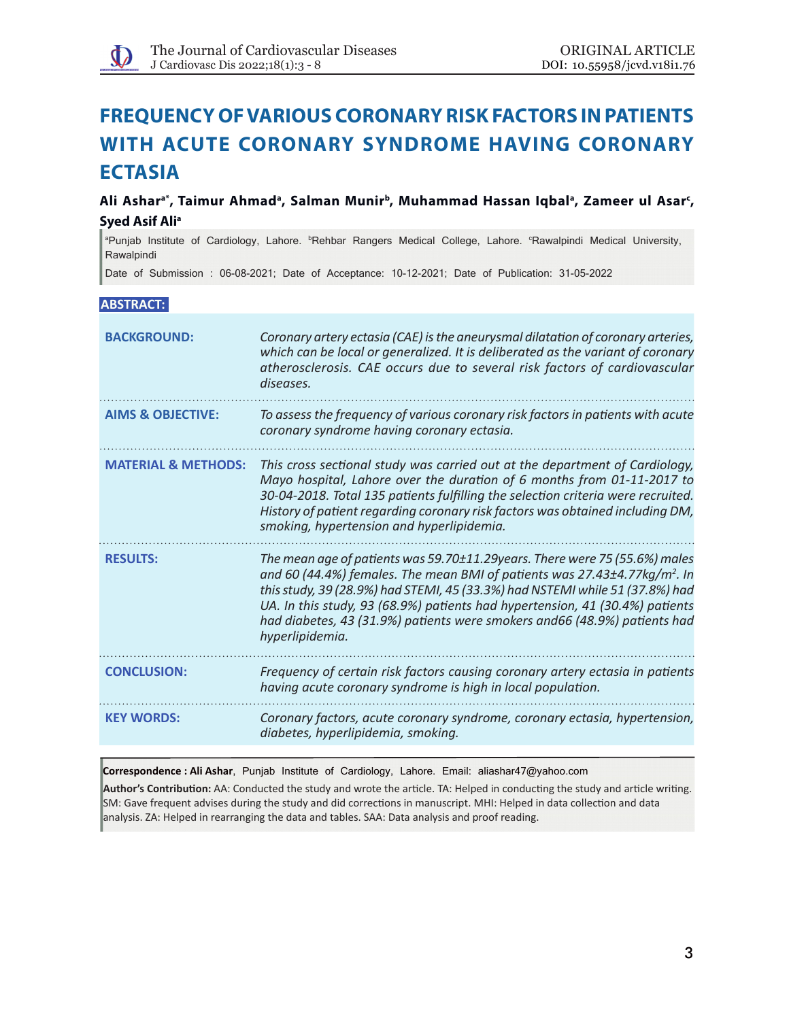# **FREQUENCY OF VARIOUS CORONARY RISK FACTORS IN PATIENTS WITH ACUTE CORONARY SYNDROME having CORONARY ECTASIA**

Ali Asharª\*, Taimur Ahmadª, Salman Munirʰ, Muhammad Hassan Iqbalª, Zameer ul Asar<sup>c</sup>, **Syed Asif Ali<sup>a</sup>** 

<sup>a</sup>Punjab Institute of Cardiology, Lahore. <sup>b</sup>Rehbar Rangers Medical College, Lahore. <sup>c</sup>Rawalpindi Medical University, Rawalpindi

Date of Submission : 06-08-2021; Date of Acceptance: 10-12-2021; Date of Publication: 31-05-2022

# **ABSTRACT:**

| <b>BACKGROUND:</b>             | Coronary artery ectasia (CAE) is the aneurysmal dilatation of coronary arteries,<br>which can be local or generalized. It is deliberated as the variant of coronary<br>atherosclerosis. CAE occurs due to several risk factors of cardiovascular<br>diseases.                                                                                                                                                                       |
|--------------------------------|-------------------------------------------------------------------------------------------------------------------------------------------------------------------------------------------------------------------------------------------------------------------------------------------------------------------------------------------------------------------------------------------------------------------------------------|
| <b>AIMS &amp; OBJECTIVE:</b>   | To assess the frequency of various coronary risk factors in patients with acute<br>coronary syndrome having coronary ectasia.                                                                                                                                                                                                                                                                                                       |
| <b>MATERIAL &amp; METHODS:</b> | This cross sectional study was carried out at the department of Cardiology,<br>Mayo hospital, Lahore over the duration of 6 months from 01-11-2017 to<br>30-04-2018. Total 135 patients fulfilling the selection criteria were recruited.<br>History of patient regarding coronary risk factors was obtained including DM,<br>smoking, hypertension and hyperlipidemia.                                                             |
| <b>RESULTS:</b>                | The mean age of patients was 59.70±11.29years. There were 75 (55.6%) males<br>and 60 (44.4%) females. The mean BMI of patients was 27.43±4.77kg/m <sup>2</sup> . In<br>this study, 39 (28.9%) had STEMI, 45 (33.3%) had NSTEMI while 51 (37.8%) had<br>UA. In this study, 93 (68.9%) patients had hypertension, 41 (30.4%) patients<br>had diabetes, 43 (31.9%) patients were smokers and66 (48.9%) patients had<br>hyperlipidemia. |
| <b>CONCLUSION:</b>             | Frequency of certain risk factors causing coronary artery ectasia in patients<br>having acute coronary syndrome is high in local population.                                                                                                                                                                                                                                                                                        |
| <b>KEY WORDS:</b>              | Coronary factors, acute coronary syndrome, coronary ectasia, hypertension,<br>diabetes, hyperlipidemia, smoking.                                                                                                                                                                                                                                                                                                                    |

**Correspondence : Ali Ashar**, Punjab Institute of Cardiology, Lahore. Email: aliashar47@yahoo.com

**Author's Contribution:** AA: Conducted the study and wrote the article. TA: Helped in conducting the study and article writing. SM: Gave frequent advises during the study and did corrections in manuscript. MHI: Helped in data collection and data analysis. ZA: Helped in rearranging the data and tables. SAA: Data analysis and proof reading.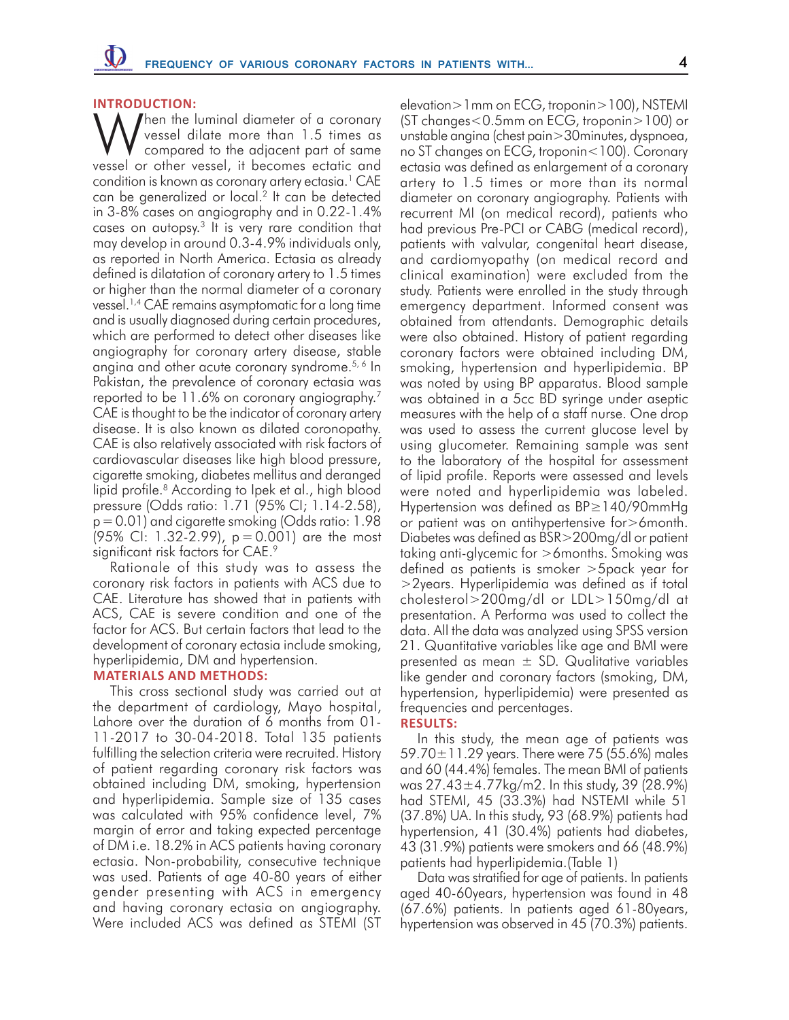#### **INTRODUCTION:**

Then the luminal diameter of a coronary vessel dilate more than 1.5 times as compared to the adjacent part of same vessel or other vessel, it becomes ectatic and condition is known as coronary artery ectasia.<sup>1</sup> CAE can be generalized or local.<sup>2</sup> It can be detected in 3-8% cases on angiography and in 0.22-1.4% cases on autopsy. $3$  It is very rare condition that may develop in around 0.3-4.9% individuals only, as reported in North America. Ectasia as already defined is dilatation of coronary artery to 1.5 times or higher than the normal diameter of a coronary vessel.1,4 CAE remains asymptomatic for a long time and is usually diagnosed during certain procedures, which are performed to detect other diseases like angiography for coronary artery disease, stable angina and other acute coronary syndrome.<sup>5, 6</sup> In Pakistan, the prevalence of coronary ectasia was reported to be 11.6% on coronary angiography.7 CAE is thought to be the indicator of coronary artery disease. It is also known as dilated coronopathy. CAE is also relatively associated with risk factors of cardiovascular diseases like high blood pressure, cigarette smoking, diabetes mellitus and deranged lipid profile.<sup>8</sup> According to Ipek et al., high blood pressure (Odds ratio: 1.71 (95% CI; 1.14-2.58), p=0.01) and cigarette smoking (Odds ratio: 1.98 (95% CI: 1.32-2.99), p= 0.001) are the most significant risk factors for CAE.<sup>9</sup>

Rationale of this study was to assess the coronary risk factors in patients with ACS due to CAE. Literature has showed that in patients with ACS, CAE is severe condition and one of the factor for ACS. But certain factors that lead to the development of coronary ectasia include smoking, hyperlipidemia, DM and hypertension.

## **MATERIALS AND METHODS:**

This cross sectional study was carried out at the department of cardiology, Mayo hospital, Lahore over the duration of 6 months from 01- 11-2017 to 30-04-2018. Total 135 patients fulfilling the selection criteria were recruited. History of patient regarding coronary risk factors was obtained including DM, smoking, hypertension and hyperlipidemia. Sample size of 135 cases was calculated with 95% confidence level, 7% margin of error and taking expected percentage of DM i.e. 18.2% in ACS patients having coronary ectasia. Non-probability, consecutive technique was used. Patients of age 40-80 years of either gender presenting with ACS in emergency and having coronary ectasia on angiography. Were included ACS was defined as STEMI (ST elevation>1mm on ECG, troponin>100), NSTEMI (ST changes<0.5mm on ECG, troponin>100) or unstable angina (chest pain>30minutes, dyspnoea, no ST changes on ECG, troponin<100). Coronary ectasia was defined as enlargement of a coronary artery to 1.5 times or more than its normal diameter on coronary angiography. Patients with recurrent MI (on medical record), patients who had previous Pre-PCI or CABG (medical record), patients with valvular, congenital heart disease, and cardiomyopathy (on medical record and clinical examination) were excluded from the study. Patients were enrolled in the study through emergency department. Informed consent was obtained from attendants. Demographic details were also obtained. History of patient regarding coronary factors were obtained including DM, smoking, hypertension and hyperlipidemia. BP was noted by using BP apparatus. Blood sample was obtained in a 5cc BD syringe under aseptic measures with the help of a staff nurse. One drop was used to assess the current glucose level by using glucometer. Remaining sample was sent to the laboratory of the hospital for assessment of lipid profile. Reports were assessed and levels were noted and hyperlipidemia was labeled. Hypertension was defined as BP≥140/90mmHg or patient was on antihypertensive for>6month. Diabetes was defined as BSR>200mg/dl or patient taking anti-glycemic for >6months. Smoking was defined as patients is smoker >5pack year for >2years. Hyperlipidemia was defined as if total cholesterol>200mg/dl or LDL>150mg/dl at presentation. A Performa was used to collect the data. All the data was analyzed using SPSS version 21. Quantitative variables like age and BMI were presented as mean  $\pm$  SD. Qualitative variables like gender and coronary factors (smoking, DM, hypertension, hyperlipidemia) were presented as frequencies and percentages.

## **RESULTS:**

In this study, the mean age of patients was 59.70 $\pm$ 11.29 years. There were 75 (55.6%) males and 60 (44.4%) females. The mean BMI of patients was 27.43±4.77kg/m2. In this study, 39 (28.9%) had STEMI, 45 (33.3%) had NSTEMI while 51 (37.8%) UA. In this study, 93 (68.9%) patients had hypertension, 41 (30.4%) patients had diabetes, 43 (31.9%) patients were smokers and 66 (48.9%) patients had hyperlipidemia.(Table 1)

Data was stratified for age of patients. In patients aged 40-60years, hypertension was found in 48 (67.6%) patients. In patients aged 61-80years, hypertension was observed in 45 (70.3%) patients.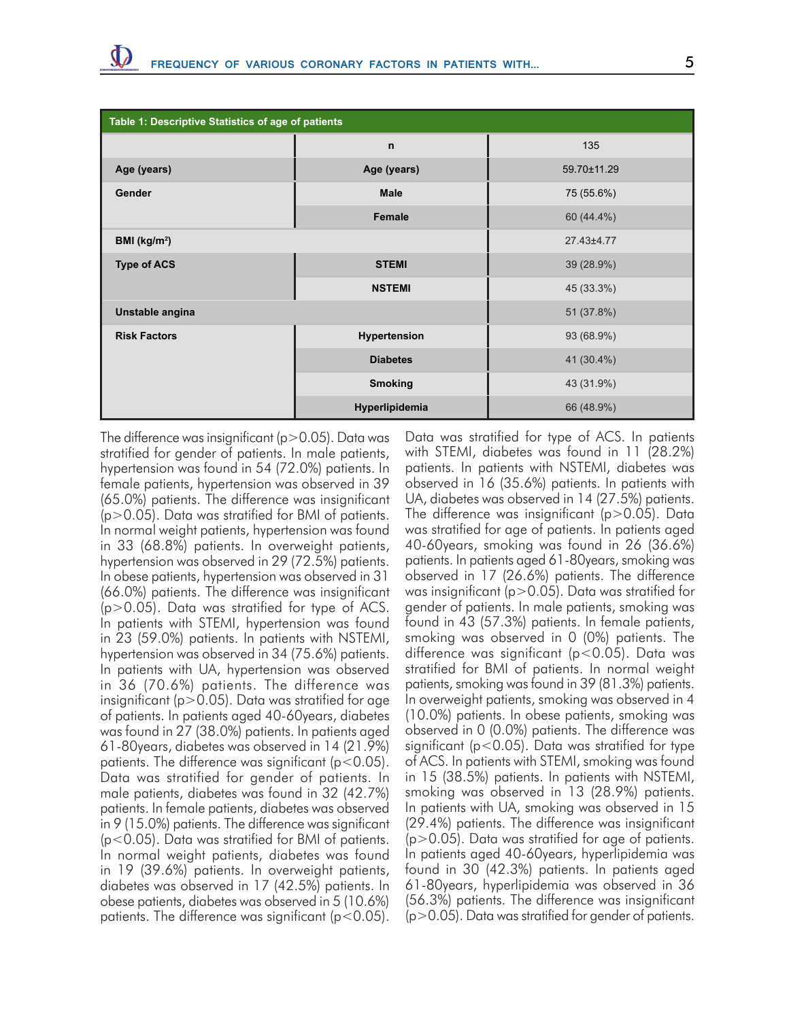| Table 1: Descriptive Statistics of age of patients |                 |             |  |  |  |  |  |
|----------------------------------------------------|-----------------|-------------|--|--|--|--|--|
|                                                    | $\mathsf{n}$    | 135         |  |  |  |  |  |
| Age (years)                                        | Age (years)     | 59.70±11.29 |  |  |  |  |  |
| Gender                                             | <b>Male</b>     | 75 (55.6%)  |  |  |  |  |  |
|                                                    | Female          | 60 (44.4%)  |  |  |  |  |  |
| BMI (kg/m <sup>2</sup> )                           | 27.43±4.77      |             |  |  |  |  |  |
| <b>Type of ACS</b>                                 | <b>STEMI</b>    | 39 (28.9%)  |  |  |  |  |  |
|                                                    | <b>NSTEMI</b>   | 45 (33.3%)  |  |  |  |  |  |
| Unstable angina                                    | 51 (37.8%)      |             |  |  |  |  |  |
| <b>Risk Factors</b>                                | Hypertension    | 93 (68.9%)  |  |  |  |  |  |
|                                                    | <b>Diabetes</b> | 41 (30.4%)  |  |  |  |  |  |
|                                                    | <b>Smoking</b>  | 43 (31.9%)  |  |  |  |  |  |
|                                                    | Hyperlipidemia  | 66 (48.9%)  |  |  |  |  |  |

The difference was insignificant ( $p > 0.05$ ). Data was stratified for gender of patients. In male patients, hypertension was found in 54 (72.0%) patients. In female patients, hypertension was observed in 39 (65.0%) patients. The difference was insignificant (p>0.05). Data was stratified for BMI of patients. In normal weight patients, hypertension was found in 33 (68.8%) patients. In overweight patients, hypertension was observed in 29 (72.5%) patients. In obese patients, hypertension was observed in 31 (66.0%) patients. The difference was insignificant  $(p>0.05)$ . Data was stratified for type of ACS. In patients with STEMI, hypertension was found in 23 (59.0%) patients. In patients with NSTEMI, hypertension was observed in 34 (75.6%) patients. In patients with UA, hypertension was observed in 36 (70.6%) patients. The difference was insignificant ( $p > 0.05$ ). Data was stratified for age of patients. In patients aged 40-60years, diabetes was found in 27 (38.0%) patients. In patients aged 61-80years, diabetes was observed in 14 (21.9%) patients. The difference was significant ( $p < 0.05$ ). Data was stratified for gender of patients. In male patients, diabetes was found in 32 (42.7%) patients. In female patients, diabetes was observed in 9 (15.0%) patients. The difference was significant (p<0.05). Data was stratified for BMI of patients. In normal weight patients, diabetes was found in 19 (39.6%) patients. In overweight patients, diabetes was observed in 17 (42.5%) patients. In obese patients, diabetes was observed in 5 (10.6%) patients. The difference was significant ( $p < 0.05$ ).

Data was stratified for type of ACS. In patients with STEMI, diabetes was found in 11 (28.2%) patients. In patients with NSTEMI, diabetes was observed in 16 (35.6%) patients. In patients with UA, diabetes was observed in 14 (27.5%) patients. The difference was insignificant ( $p > 0.05$ ). Data was stratified for age of patients. In patients aged 40-60years, smoking was found in 26 (36.6%) patients. In patients aged 61-80years, smoking was observed in 17 (26.6%) patients. The difference was insignificant ( $p > 0.05$ ). Data was stratified for gender of patients. In male patients, smoking was found in 43 (57.3%) patients. In female patients, smoking was observed in 0 (0%) patients. The difference was significant (p<0.05). Data was stratified for BMI of patients. In normal weight patients, smoking was found in 39 (81.3%) patients. In overweight patients, smoking was observed in 4 (10.0%) patients. In obese patients, smoking was observed in 0 (0.0%) patients. The difference was significant (p<0.05). Data was stratified for type of ACS. In patients with STEMI, smoking was found in 15 (38.5%) patients. In patients with NSTEMI, smoking was observed in 13 (28.9%) patients. In patients with UA, smoking was observed in 15 (29.4%) patients. The difference was insignificant  $(p>0.05)$ . Data was stratified for age of patients. In patients aged 40-60years, hyperlipidemia was found in 30 (42.3%) patients. In patients aged 61-80years, hyperlipidemia was observed in 36 (56.3%) patients. The difference was insignificant  $(p>0.05)$ . Data was stratified for gender of patients.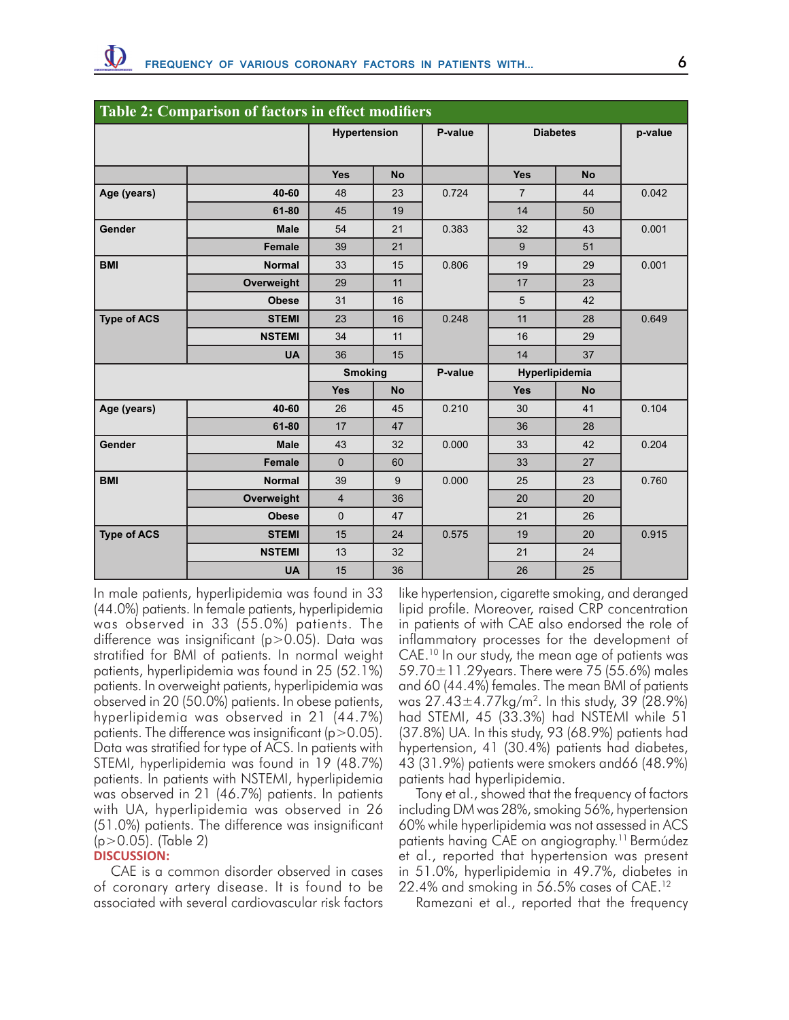| Table 2: Comparison of factors in effect modifiers |               |                |           |         |                 |           |         |  |  |  |  |
|----------------------------------------------------|---------------|----------------|-----------|---------|-----------------|-----------|---------|--|--|--|--|
|                                                    |               | Hypertension   |           | P-value | <b>Diabetes</b> |           | p-value |  |  |  |  |
|                                                    |               |                |           |         |                 |           |         |  |  |  |  |
|                                                    |               | <b>Yes</b>     | <b>No</b> |         | <b>Yes</b>      | <b>No</b> |         |  |  |  |  |
| Age (years)                                        | 40-60         | 48             | 23        | 0.724   | $\overline{7}$  | 44        | 0.042   |  |  |  |  |
|                                                    | 61-80         | 45             | 19        |         | 14              | 50        |         |  |  |  |  |
| Gender                                             | <b>Male</b>   | 54             | 21        | 0.383   | 32              | 43        | 0.001   |  |  |  |  |
|                                                    | <b>Female</b> | 39             | 21        |         | 9               | 51        |         |  |  |  |  |
| <b>BMI</b>                                         | <b>Normal</b> | 33             | 15        | 0.806   | 19              | 29        | 0.001   |  |  |  |  |
|                                                    | Overweight    | 29             | 11        |         | 17              | 23        |         |  |  |  |  |
|                                                    | <b>Obese</b>  | 31             | 16        |         | 5               | 42        |         |  |  |  |  |
| <b>Type of ACS</b>                                 | <b>STEMI</b>  | 23             | 16        | 0.248   | 11              | 28        | 0.649   |  |  |  |  |
|                                                    | <b>NSTEMI</b> | 34             | 11        |         | 16              | 29        |         |  |  |  |  |
|                                                    | <b>UA</b>     | 36             | 15        |         | 14              | 37        |         |  |  |  |  |
|                                                    |               | <b>Smoking</b> |           | P-value | Hyperlipidemia  |           |         |  |  |  |  |
|                                                    |               | <b>Yes</b>     | <b>No</b> |         | <b>Yes</b>      | <b>No</b> |         |  |  |  |  |
| Age (years)                                        | 40-60         | 26             | 45        | 0.210   | 30              | 41        | 0.104   |  |  |  |  |
|                                                    | 61-80         | 17             | 47        |         | 36              | 28        |         |  |  |  |  |
| Gender                                             | <b>Male</b>   | 43             | 32        | 0.000   | 33              | 42        | 0.204   |  |  |  |  |
|                                                    | Female        | $\overline{0}$ | 60        |         | 33              | 27        |         |  |  |  |  |
| <b>BMI</b>                                         | <b>Normal</b> | 39             | 9         | 0.000   | 25              | 23        | 0.760   |  |  |  |  |
|                                                    | Overweight    | $\overline{4}$ | 36        |         | 20              | 20        |         |  |  |  |  |
|                                                    | <b>Obese</b>  | $\overline{0}$ | 47        |         | 21              | 26        |         |  |  |  |  |
| <b>Type of ACS</b>                                 | <b>STEMI</b>  | 15             | 24        | 0.575   | 19              | 20        | 0.915   |  |  |  |  |
|                                                    | <b>NSTEMI</b> | 13             | 32        |         | 21              | 24        |         |  |  |  |  |
|                                                    | <b>UA</b>     | 15             | 36        |         | 26              | 25        |         |  |  |  |  |

In male patients, hyperlipidemia was found in 33 (44.0%) patients. In female patients, hyperlipidemia was observed in 33 (55.0%) patients. The difference was insignificant (p>0.05). Data was stratified for BMI of patients. In normal weight patients, hyperlipidemia was found in 25 (52.1%) patients. In overweight patients, hyperlipidemia was observed in 20 (50.0%) patients. In obese patients, hyperlipidemia was observed in 21 (44.7%) patients. The difference was insignificant ( $p > 0.05$ ). Data was stratified for type of ACS. In patients with STEMI, hyperlipidemia was found in 19 (48.7%) patients. In patients with NSTEMI, hyperlipidemia was observed in 21 (46.7%) patients. In patients with UA, hyperlipidemia was observed in 26 (51.0%) patients. The difference was insignificant (p>0.05). (Table 2)

# **DISCUSSION:**

CAE is a common disorder observed in cases of coronary artery disease. It is found to be associated with several cardiovascular risk factors like hypertension, cigarette smoking, and deranged lipid profile. Moreover, raised CRP concentration in patients of with CAE also endorsed the role of inflammatory processes for the development of CAE.<sup>10</sup> In our study, the mean age of patients was 59.70 $\pm$ 11.29 years. There were 75 (55.6%) males and 60 (44.4%) females. The mean BMI of patients was  $27.43 \pm 4.77$  kg/m<sup>2</sup>. In this study, 39 (28.9%) had STEMI, 45 (33.3%) had NSTEMI while 51 (37.8%) UA. In this study, 93 (68.9%) patients had hypertension, 41 (30.4%) patients had diabetes, 43 (31.9%) patients were smokers and66 (48.9%) patients had hyperlipidemia.

Tony et al., showed that the frequency of factors including DM was 28%, smoking 56%, hypertension 60% while hyperlipidemia was not assessed in ACS patients having CAE on angiography.11 Bermúdez et al., reported that hypertension was present in 51.0%, hyperlipidemia in 49.7%, diabetes in 22.4% and smoking in 56.5% cases of CAE.12

Ramezani et al., reported that the frequency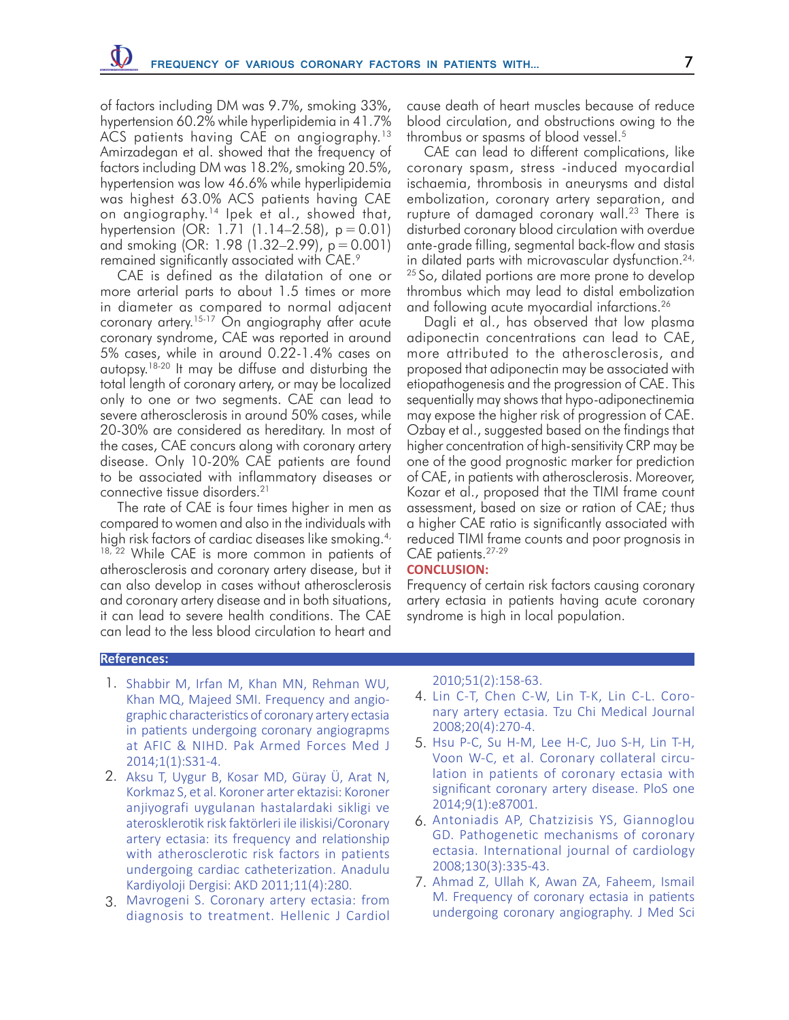of factors including DM was 9.7%, smoking 33%, hypertension 60.2% while hyperlipidemia in 41.7% ACS patients having CAE on angiography.<sup>13</sup> Amirzadegan et al. showed that the frequency of factors including DM was 18.2%, smoking 20.5%, hypertension was low 46.6% while hyperlipidemia was highest 63.0% ACS patients having CAE on angiography.14 Ipek et al., showed that, hypertension (OR: 1.71 (1.14–2.58), p= 0.01) and smoking (OR: 1.98 (1.32–2.99), p=0.001) remained significantly associated with CAE.9

CAE is defined as the dilatation of one or more arterial parts to about 1.5 times or more in diameter as compared to normal adjacent coronary artery.15-17 On angiography after acute coronary syndrome, CAE was reported in around 5% cases, while in around 0.22-1.4% cases on autopsy.18-20 It may be diffuse and disturbing the total length of coronary artery, or may be localized only to one or two segments. CAE can lead to severe atherosclerosis in around 50% cases, while 20-30% are considered as hereditary. In most of the cases, CAE concurs along with coronary artery disease. Only 10-20% CAE patients are found to be associated with inflammatory diseases or connective tissue disorders.21

The rate of CAE is four times higher in men as compared to women and also in the individuals with high risk factors of cardiac diseases like smoking.<sup>4,</sup> <sup>18, 22</sup> While CAE is more common in patients of atherosclerosis and coronary artery disease, but it can also develop in cases without atherosclerosis and coronary artery disease and in both situations, it can lead to severe health conditions. The CAE can lead to the less blood circulation to heart and

cause death of heart muscles because of reduce blood circulation, and obstructions owing to the thrombus or spasms of blood vessel.5

CAE can lead to different complications, like coronary spasm, stress -induced myocardial ischaemia, thrombosis in aneurysms and distal embolization, coronary artery separation, and rupture of damaged coronary wall.<sup>23</sup> There is disturbed coronary blood circulation with overdue ante-grade filling, segmental back-flow and stasis in dilated parts with microvascular dysfunction.<sup>24,</sup> <sup>25</sup> So, dilated portions are more prone to develop thrombus which may lead to distal embolization and following acute myocardial infarctions.<sup>26</sup>

Dagli et al., has observed that low plasma adiponectin concentrations can lead to CAE, more attributed to the atherosclerosis, and proposed that adiponectin may be associated with etiopathogenesis and the progression of CAE. This sequentially may shows that hypo-adiponectinemia may expose the higher risk of progression of CAE. Ozbay et al., suggested based on the findings that higher concentration of high-sensitivity CRP may be one of the good prognostic marker for prediction of CAE, in patients with atherosclerosis. Moreover, Kozar et al., proposed that the TIMI frame count assessment, based on size or ration of CAE; thus a higher CAE ratio is significantly associated with reduced TIMI frame counts and poor prognosis in CAE patients.<sup>27-29</sup>

## **CONCLUSION:**

Frequency of certain risk factors causing coronary artery ectasia in patients having acute coronary syndrome is high in local population.

#### **References:**

- 1. Shabbir M, Irfan M, Khan MN, Rehman WU, Khan MQ, Majeed SMI. Frequency and angiographic characteristics of coronary artery ectasia in patients undergoing coronary angiograpms at AFIC & NIHD. Pak Armed Forces Med J 2014;1(1):S31-4.
- 2. Aksu T, Uygur B, Kosar MD, Güray Ü, Arat N, Korkmaz S, et al. Koroner arter ektazisi: Koroner anjiyografi uygulanan hastalardaki sikligi ve aterosklerotik risk faktörleri ile iliskisi/Coronary artery ectasia: its frequency and relationship with atherosclerotic risk factors in patients undergoing cardiac catheterization. Anadulu Kardiyoloji Dergisi: AKD 2011;11(4):280.
- Mavrogeni S. Coronary artery ectasia: from 3. diagnosis to treatment. Hellenic J Cardiol

#### 2010;51(2):158-63.

- 4. Lin C-T, Chen C-W, Lin T-K, Lin C-L. Coronary artery ectasia. Tzu Chi Medical Journal 2008;20(4):270-4.
- 5. Hsu P-C, Su H-M, Lee H-C, Juo S-H, Lin T-H, Voon W-C, et al. Coronary collateral circulation in patients of coronary ectasia with significant coronary artery disease. PloS one 2014;9(1):e87001.
- 6. Antoniadis AP, Chatzizisis YS, Giannoglou GD. Pathogenetic mechanisms of coronary ectasia. International journal of cardiology 2008;130(3):335-43.
- 7. Ahmad Z, Ullah K, Awan ZA, Faheem, Ismail M. Frequency of coronary ectasia in patients undergoing coronary angiography. J Med Sci